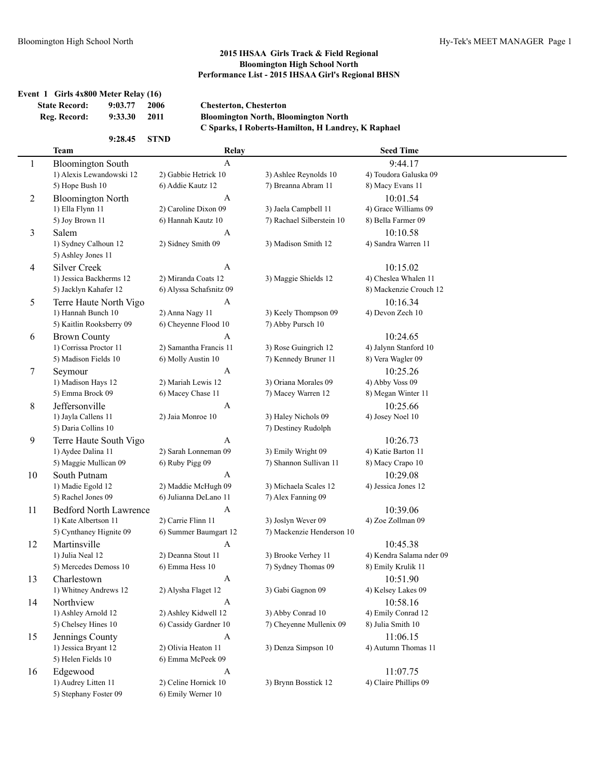|                | <b>State Record:</b><br>9:03.77<br>Reg. Record:<br>9:33.30 | 2006<br>2011    | <b>Chesterton, Chesterton</b> | <b>Bloomington North, Bloomington North</b><br>C Sparks, I Roberts-Hamilton, H Landrey, K Raphael |                          |
|----------------|------------------------------------------------------------|-----------------|-------------------------------|---------------------------------------------------------------------------------------------------|--------------------------|
|                | 9:28.45                                                    | <b>STND</b>     |                               |                                                                                                   |                          |
|                | <b>Team</b>                                                |                 | Relay                         |                                                                                                   | <b>Seed Time</b>         |
| $\mathbf{1}$   | <b>Bloomington South</b>                                   |                 | A                             |                                                                                                   | 9:44.17                  |
|                | 1) Alexis Lewandowski 12                                   |                 | 2) Gabbie Hetrick 10          | 3) Ashlee Reynolds 10                                                                             | 4) Toudora Galuska 09    |
|                | 5) Hope Bush 10                                            |                 | 6) Addie Kautz 12             | 7) Breanna Abram 11                                                                               | 8) Macy Evans 11         |
| $\overline{2}$ | <b>Bloomington North</b>                                   |                 | A                             |                                                                                                   | 10:01.54                 |
|                | 1) Ella Flynn 11                                           |                 | 2) Caroline Dixon 09          | 3) Jaela Campbell 11                                                                              | 4) Grace Williams 09     |
|                | 5) Joy Brown 11                                            |                 | 6) Hannah Kautz 10            | 7) Rachael Silberstein 10                                                                         | 8) Bella Farmer 09       |
| 3              | Salem                                                      |                 | A                             |                                                                                                   | 10:10.58                 |
|                | 1) Sydney Calhoun 12<br>5) Ashley Jones 11                 |                 | 2) Sidney Smith 09            | 3) Madison Smith 12                                                                               | 4) Sandra Warren 11      |
| 4              | <b>Silver Creek</b>                                        |                 | A                             |                                                                                                   | 10:15.02                 |
|                | 1) Jessica Backherms 12                                    |                 | 2) Miranda Coats 12           | 3) Maggie Shields 12                                                                              | 4) Cheslea Whalen 11     |
|                | 5) Jacklyn Kahafer 12                                      |                 | 6) Alyssa Schafsnitz 09       |                                                                                                   | 8) Mackenzie Crouch 12   |
| 5              | Terre Haute North Vigo                                     |                 | A                             |                                                                                                   | 10:16.34                 |
|                | 1) Hannah Bunch 10                                         |                 | 2) Anna Nagy 11               | 3) Keely Thompson 09                                                                              | 4) Devon Zech 10         |
|                | 5) Kaitlin Rooksberry 09                                   |                 | 6) Cheyenne Flood 10          | 7) Abby Pursch 10                                                                                 |                          |
| 6              | <b>Brown County</b>                                        |                 | A                             |                                                                                                   | 10:24.65                 |
|                | 1) Corrissa Proctor 11                                     |                 | 2) Samantha Francis 11        | 3) Rose Guingrich 12                                                                              | 4) Jalynn Stanford 10    |
|                | 5) Madison Fields 10                                       |                 | 6) Molly Austin 10            | 7) Kennedy Bruner 11                                                                              | 8) Vera Wagler 09        |
| 7              | Seymour                                                    |                 | A                             |                                                                                                   | 10:25.26                 |
|                | 1) Madison Hays 12                                         |                 | 2) Mariah Lewis 12            | 3) Oriana Morales 09                                                                              | 4) Abby Voss 09          |
|                | 5) Emma Brock 09                                           |                 | 6) Macey Chase 11             | 7) Macey Warren 12                                                                                | 8) Megan Winter 11       |
| 8              | Jeffersonville                                             |                 | A                             |                                                                                                   | 10:25.66                 |
|                | 1) Jayla Callens 11                                        |                 | 2) Jaia Monroe 10             | 3) Haley Nichols 09                                                                               | 4) Josey Noel 10         |
|                | 5) Daria Collins 10                                        |                 |                               | 7) Destiney Rudolph                                                                               |                          |
| 9              | Terre Haute South Vigo                                     |                 | A                             |                                                                                                   | 10:26.73                 |
|                | 1) Aydee Dalina 11                                         |                 | 2) Sarah Lonneman 09          | 3) Emily Wright 09                                                                                | 4) Katie Barton 11       |
|                | 5) Maggie Mullican 09                                      | 6) Ruby Pigg 09 |                               | 7) Shannon Sullivan 11                                                                            | 8) Macy Crapo 10         |
| 10             | South Putnam                                               |                 | A                             |                                                                                                   | 10:29.08                 |
|                | 1) Madie Egold 12                                          |                 | 2) Maddie McHugh 09           | 3) Michaela Scales 12                                                                             | 4) Jessica Jones 12      |
|                | 5) Rachel Jones 09                                         |                 | 6) Julianna DeLano 11         | 7) Alex Fanning 09                                                                                |                          |
| 11             | <b>Bedford North Lawrence</b>                              |                 | A                             |                                                                                                   | 10:39.06                 |
|                | 1) Kate Albertson 11                                       |                 | 2) Carrie Flinn 11            | 3) Joslyn Wever 09                                                                                | 4) Zoe Zollman 09        |
|                | 5) Cynthaney Hignite 09                                    |                 | 6) Summer Baumgart 12         | 7) Mackenzie Henderson 10                                                                         |                          |
| 12             | Martinsville                                               |                 | A                             |                                                                                                   | 10:45.38                 |
|                | 1) Julia Neal 12                                           |                 | 2) Deanna Stout 11            | 3) Brooke Verhey 11                                                                               | 4) Kendra Salama nder 09 |
|                | 5) Mercedes Demoss 10                                      |                 | 6) Emma Hess 10               | 7) Sydney Thomas 09                                                                               | 8) Emily Krulik 11       |
| 13             | Charlestown                                                |                 | A                             |                                                                                                   | 10:51.90                 |
|                | 1) Whitney Andrews 12                                      |                 | 2) Alysha Flaget 12           | 3) Gabi Gagnon 09                                                                                 | 4) Kelsey Lakes 09       |
| 14             | Northview                                                  |                 | A                             |                                                                                                   | 10:58.16                 |
|                | 1) Ashley Arnold 12                                        |                 | 2) Ashley Kidwell 12          | 3) Abby Conrad 10                                                                                 | 4) Emily Conrad 12       |
|                | 5) Chelsey Hines 10                                        |                 | 6) Cassidy Gardner 10         | 7) Cheyenne Mullenix 09                                                                           | 8) Julia Smith 10        |
| 15             | Jennings County                                            |                 | A                             |                                                                                                   | 11:06.15                 |
|                | 1) Jessica Bryant 12                                       |                 | 2) Olivia Heaton 11           | 3) Denza Simpson 10                                                                               | 4) Autumn Thomas 11      |
|                | 5) Helen Fields 10                                         |                 | 6) Emma McPeek 09             |                                                                                                   |                          |
| 16             | Edgewood                                                   |                 | A                             |                                                                                                   | 11:07.75                 |
|                | 1) Audrey Litten 11                                        |                 | 2) Celine Hornick 10          | 3) Brynn Bosstick 12                                                                              | 4) Claire Phillips 09    |
|                | 5) Stephany Foster 09                                      |                 | 6) Emily Werner 10            |                                                                                                   |                          |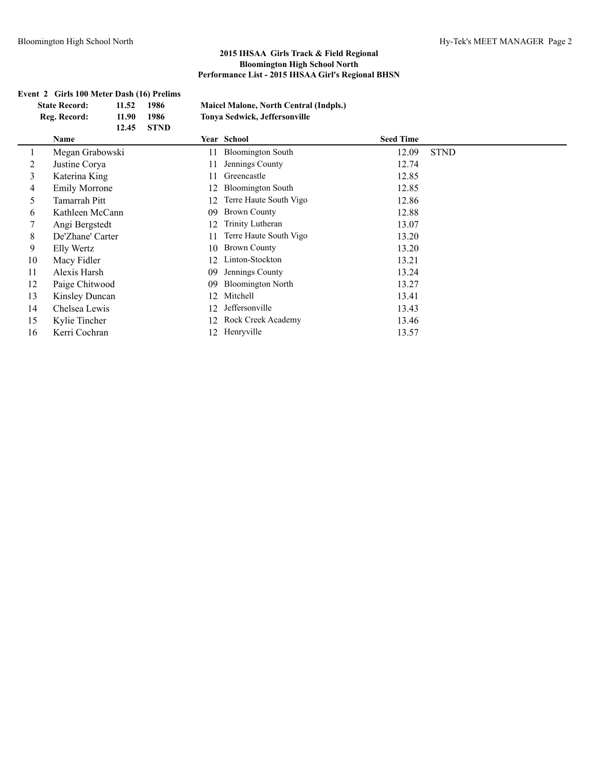| Event 2 Girls 100 Meter Dash (16) Prelims |                      |       |             |    |                                               |                  |             |
|-------------------------------------------|----------------------|-------|-------------|----|-----------------------------------------------|------------------|-------------|
|                                           | <b>State Record:</b> | 11.52 | 1986        |    | <b>Maicel Malone, North Central (Indpls.)</b> |                  |             |
|                                           | Reg. Record:         | 11.90 | 1986        |    | Tonya Sedwick, Jeffersonville                 |                  |             |
|                                           |                      | 12.45 | <b>STND</b> |    |                                               |                  |             |
|                                           | Name                 |       |             |    | Year School                                   | <b>Seed Time</b> |             |
|                                           | Megan Grabowski      |       |             | 11 | <b>Bloomington South</b>                      | 12.09            | <b>STND</b> |
| 2                                         | Justine Corya        |       |             | 11 | Jennings County                               | 12.74            |             |
| 3                                         | Katerina King        |       |             | 11 | Greencastle                                   | 12.85            |             |
| 4                                         | <b>Emily Morrone</b> |       |             | 12 | <b>Bloomington South</b>                      | 12.85            |             |
| 5                                         | Tamarrah Pitt        |       |             | 12 | Terre Haute South Vigo                        | 12.86            |             |
| 6                                         | Kathleen McCann      |       |             | 09 | <b>Brown County</b>                           | 12.88            |             |
|                                           | Angi Bergstedt       |       |             | 12 | Trinity Lutheran                              | 13.07            |             |
| 8                                         | De'Zhane' Carter     |       |             | 11 | Terre Haute South Vigo                        | 13.20            |             |
| 9                                         | Elly Wertz           |       |             | 10 | <b>Brown County</b>                           | 13.20            |             |
| 10                                        | Macy Fidler          |       |             | 12 | Linton-Stockton                               | 13.21            |             |
| 11                                        | Alexis Harsh         |       |             | 09 | Jennings County                               | 13.24            |             |
| 12                                        | Paige Chitwood       |       |             | 09 | <b>Bloomington North</b>                      | 13.27            |             |
| 13                                        | Kinsley Duncan       |       |             | 12 | Mitchell                                      | 13.41            |             |
| 14                                        | Chelsea Lewis        |       |             | 12 | Jeffersonville                                | 13.43            |             |
| 15                                        | Kylie Tincher        |       |             | 12 | Rock Creek Academy                            | 13.46            |             |
| 16                                        | Kerri Cochran        |       |             | 12 | Henryville                                    | 13.57            |             |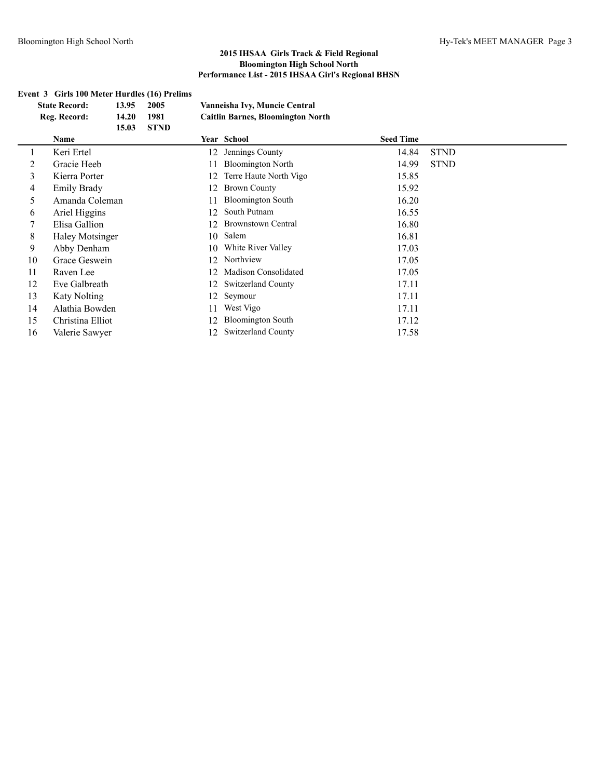## **Event 3 Girls 100 Meter Hurdles (16) Prelims**

| 13.95<br><b>State Record:</b> |                     | 2005  |             | Vanneisha Ivy, Muncie Central |                                          |                  |             |
|-------------------------------|---------------------|-------|-------------|-------------------------------|------------------------------------------|------------------|-------------|
|                               | Reg. Record:        | 14.20 | 1981        |                               | <b>Caitlin Barnes, Bloomington North</b> |                  |             |
|                               |                     | 15.03 | <b>STND</b> |                               |                                          |                  |             |
|                               | Name                |       |             |                               | Year School                              | <b>Seed Time</b> |             |
| $\perp$                       | Keri Ertel          |       |             | 12                            | Jennings County                          | 14.84            | <b>STND</b> |
| 2                             | Gracie Heeb         |       |             |                               | <b>Bloomington North</b>                 | 14.99            | <b>STND</b> |
| 3                             | Kierra Porter       |       |             | 12                            | Terre Haute North Vigo                   | 15.85            |             |
| 4                             | <b>Emily Brady</b>  |       |             | 12                            | <b>Brown County</b>                      | 15.92            |             |
| 5.                            | Amanda Coleman      |       |             | 11                            | <b>Bloomington South</b>                 | 16.20            |             |
| 6                             | Ariel Higgins       |       |             | 12                            | South Putnam                             | 16.55            |             |
|                               | Elisa Gallion       |       |             | 12                            | <b>Brownstown Central</b>                | 16.80            |             |
| 8                             | Haley Motsinger     |       |             | 10                            | Salem                                    | 16.81            |             |
| 9                             | Abby Denham         |       |             | 10                            | White River Valley                       | 17.03            |             |
| 10                            | Grace Geswein       |       |             | 12                            | Northview                                | 17.05            |             |
| 11                            | Raven Lee           |       |             | 12                            | Madison Consolidated                     | 17.05            |             |
| 12                            | Eve Galbreath       |       |             | 12                            | <b>Switzerland County</b>                | 17.11            |             |
| 13                            | <b>Katy Nolting</b> |       |             | 12                            | Seymour                                  | 17.11            |             |
| 14                            | Alathia Bowden      |       |             | 11                            | West Vigo                                | 17.11            |             |
| 15                            | Christina Elliot    |       |             | 12                            | <b>Bloomington South</b>                 | 17.12            |             |
| 16                            | Valerie Sawyer      |       |             | 12                            | <b>Switzerland County</b>                | 17.58            |             |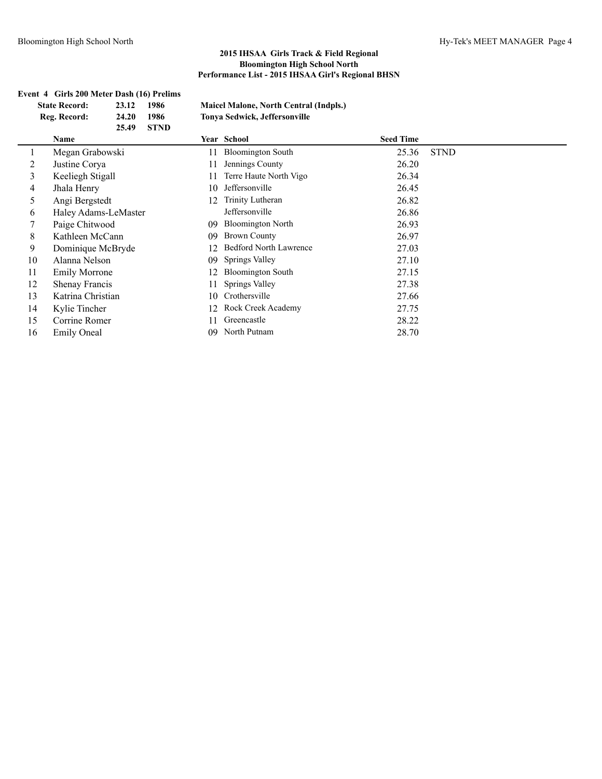|    | Event 4 Girls 200 Meter Dash (16) Prelims<br><b>State Record:</b><br>Reg. Record: | 23.12<br>24.20<br>25.49 | 1986<br>1986<br><b>STND</b> |    | Maicel Malone, North Central (Indpls.)<br>Tonya Sedwick, Jeffersonville |                  |             |
|----|-----------------------------------------------------------------------------------|-------------------------|-----------------------------|----|-------------------------------------------------------------------------|------------------|-------------|
|    | Name                                                                              |                         |                             |    | Year School                                                             | <b>Seed Time</b> |             |
|    | Megan Grabowski                                                                   |                         |                             | 11 | <b>Bloomington South</b>                                                | 25.36            | <b>STND</b> |
| 2  | Justine Corya                                                                     |                         |                             | 11 | Jennings County                                                         | 26.20            |             |
| 3  | Keeliegh Stigall                                                                  |                         |                             | 11 | Terre Haute North Vigo                                                  | 26.34            |             |
| 4  | Jhala Henry                                                                       |                         |                             | 10 | Jeffersonville                                                          | 26.45            |             |
| 5  | Angi Bergstedt                                                                    |                         |                             | 12 | Trinity Lutheran                                                        | 26.82            |             |
| 6  | Haley Adams-LeMaster                                                              |                         |                             |    | Jeffersonville                                                          | 26.86            |             |
|    | Paige Chitwood                                                                    |                         |                             | 09 | <b>Bloomington North</b>                                                | 26.93            |             |
| 8  | Kathleen McCann                                                                   |                         |                             | 09 | <b>Brown County</b>                                                     | 26.97            |             |
| 9  | Dominique McBryde                                                                 |                         |                             | 12 | <b>Bedford North Lawrence</b>                                           | 27.03            |             |
| 10 | Alanna Nelson                                                                     |                         |                             | 09 | Springs Valley                                                          | 27.10            |             |
| 11 | <b>Emily Morrone</b>                                                              |                         |                             | 12 | <b>Bloomington South</b>                                                | 27.15            |             |
| 12 | Shenay Francis                                                                    |                         |                             | 11 | Springs Valley                                                          | 27.38            |             |
| 13 | Katrina Christian                                                                 |                         |                             | 10 | Crothersville                                                           | 27.66            |             |
| 14 | Kylie Tincher                                                                     |                         |                             | 12 | Rock Creek Academy                                                      | 27.75            |             |
| 15 | Corrine Romer                                                                     |                         |                             | 11 | Greencastle                                                             | 28.22            |             |
| 16 | <b>Emily Oneal</b>                                                                |                         |                             | 09 | North Putnam                                                            | 28.70            |             |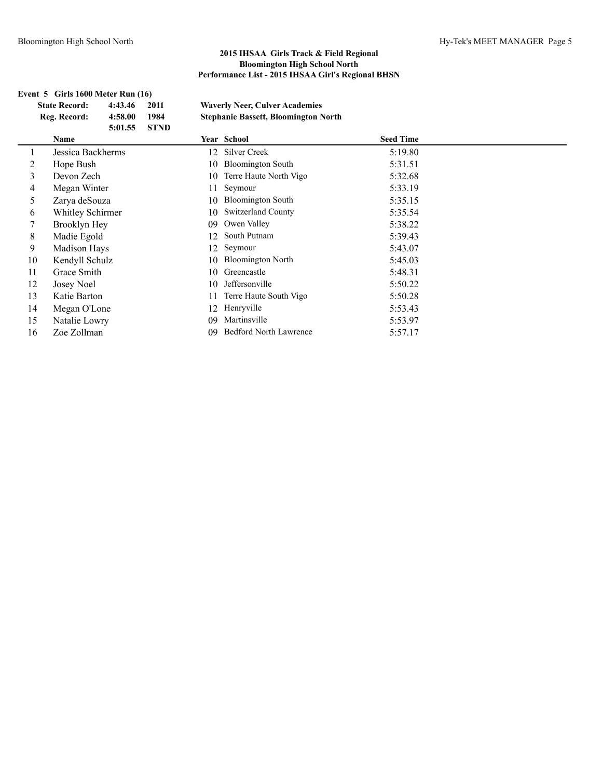# **Event 5 Girls 1600 Meter Run (16) State Record: 4:43.46 2011 Waverly Neer, Culver Academies Reg. Record: 4:58.00 1984 Stephanie Bassett, Bloomington North 5:01.55 STND Name Year School Seed Time** 1 Jessica Backherms 12 Silver Creek 5:19.80 2 Hope Bush 10 Bloomington South 5:31.51 3 Devon Zech 10 Terre Haute North Vigo 5:32.68 4 Megan Winter 11 Seymour 5:33.19 5 Zarya deSouza 10 Bloomington South 5:35.15 6 Whitley Schirmer 10 Switzerland County 5:35.54 7 Brooklyn Hey 09 Owen Valley 5:38.22 8 Madie Egold 12 South Putnam 5:39.43 9 Madison Hays 12 Seymour 5:43.07 10 Kendyll Schulz 10 Bloomington North 5:45.03 11 Grace Smith 10 Greencastle 5:48.31 12 Josey Noel 10 Jeffersonville 5:50.22 13 Katie Barton 11 Terre Haute South Vigo 5:50.28 14 Megan O'Lone 12 Henryville 5:53.43 15 Natalie Lowry 09 Martinsville 5:53.97 16 Zoe Zollman 09 Bedford North Lawrence 5:57.17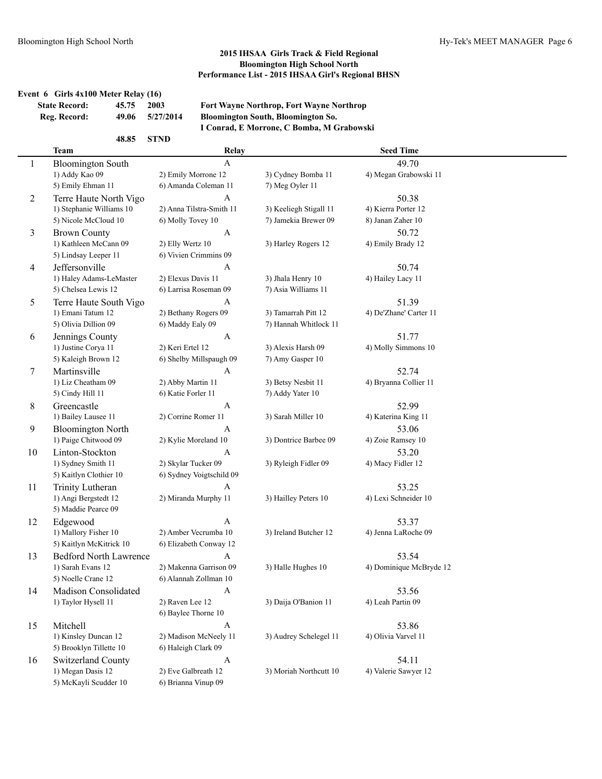## **Event 6 Girls 4x100 Meter Relay (16)**

| <b>State Record:</b> | 45.75 | 2003      |
|----------------------|-------|-----------|
| Reg. Record:         | 49.06 | 5/27/2014 |

**State Record: 45.75 2003 Fort Wayne Northrop, Fort Wayne Northrop Reg. Record: 49.06 5/27/2014 Bloomington South, Bloomington So. I Conrad, E Morrone, C Bomba, M Grabowski**

|    | 48.85                         | <b>STND</b>               |                        |                         |  |
|----|-------------------------------|---------------------------|------------------------|-------------------------|--|
|    | <b>Team</b>                   | <b>Relay</b>              |                        | <b>Seed Time</b>        |  |
| 1  | <b>Bloomington South</b>      | $\boldsymbol{\mathsf{A}}$ |                        | 49.70                   |  |
|    | 1) Addy Kao 09                | 2) Emily Morrone 12       | 3) Cydney Bomba 11     | 4) Megan Grabowski 11   |  |
|    | 5) Emily Ehman 11             | 6) Amanda Coleman 11      | 7) Meg Oyler 11        |                         |  |
| 2  | Terre Haute North Vigo        | A                         |                        | 50.38                   |  |
|    | 1) Stephanie Williams 10      | 2) Anna Tilstra-Smith 11  | 3) Keeliegh Stigall 11 | 4) Kierra Porter 12     |  |
|    | 5) Nicole McCloud 10          | 6) Molly Tovey 10         | 7) Jamekia Brewer 09   | 8) Janan Zaher 10       |  |
| 3  | <b>Brown County</b>           | A                         |                        | 50.72                   |  |
|    | 1) Kathleen McCann 09         | 2) Elly Wertz 10          | 3) Harley Rogers 12    | 4) Emily Brady 12       |  |
|    | 5) Lindsay Leeper 11          | 6) Vivien Crimmins 09     |                        |                         |  |
| 4  | Jeffersonville                | A                         |                        | 50.74                   |  |
|    | 1) Haley Adams-LeMaster       | 2) Elexus Davis 11        | 3) Jhala Henry 10      | 4) Hailey Lacy 11       |  |
|    | 5) Chelsea Lewis 12           | 6) Larrisa Roseman 09     | 7) Asia Williams 11    |                         |  |
| 5  | Terre Haute South Vigo        | A                         |                        | 51.39                   |  |
|    | 1) Emani Tatum 12             | 2) Bethany Rogers 09      | 3) Tamarrah Pitt 12    | 4) De'Zhane' Carter 11  |  |
|    | 5) Olivia Dillion 09          | 6) Maddy Ealy 09          | 7) Hannah Whitlock 11  |                         |  |
| 6  | Jennings County               | A                         |                        | 51.77                   |  |
|    | 1) Justine Corya 11           | 2) Keri Ertel 12          | 3) Alexis Harsh 09     | 4) Molly Simmons 10     |  |
|    | 5) Kaleigh Brown 12           | 6) Shelby Millspaugh 09   | 7) Amy Gasper 10       |                         |  |
| 7  | Martinsville                  | $\mathbf{A}$              |                        | 52.74                   |  |
|    | 1) Liz Cheatham 09            | 2) Abby Martin 11         | 3) Betsy Nesbit 11     | 4) Bryanna Collier 11   |  |
|    | 5) Cindy Hill 11              | 6) Katie Forler 11        | 7) Addy Yater 10       |                         |  |
| 8  | Greencastle                   | A                         |                        | 52.99                   |  |
|    | 1) Bailey Lausee 11           | 2) Corrine Romer 11       | 3) Sarah Miller 10     | 4) Katerina King 11     |  |
| 9  | <b>Bloomington North</b>      | A                         |                        | 53.06                   |  |
|    | 1) Paige Chitwood 09          | 2) Kylie Moreland 10      | 3) Dontrice Barbee 09  | 4) Zoie Ramsey 10       |  |
| 10 | Linton-Stockton               | A                         |                        | 53.20                   |  |
|    | 1) Sydney Smith 11            | 2) Skylar Tucker 09       | 3) Ryleigh Fidler 09   | 4) Macy Fidler 12       |  |
|    | 5) Kaitlyn Clothier 10        | 6) Sydney Voigtschild 09  |                        |                         |  |
| 11 | Trinity Lutheran              | A                         |                        | 53.25                   |  |
|    | 1) Angi Bergstedt 12          | 2) Miranda Murphy 11      | 3) Hailley Peters 10   | 4) Lexi Schneider 10    |  |
|    | 5) Maddie Pearce 09           |                           |                        |                         |  |
| 12 | Edgewood                      | A                         |                        | 53.37                   |  |
|    | 1) Mallory Fisher 10          | 2) Amber Vecrumba 10      | 3) Ireland Butcher 12  | 4) Jenna LaRoche 09     |  |
|    | 5) Kaitlyn McKitrick 10       | 6) Elizabeth Conway 12    |                        |                         |  |
| 13 | <b>Bedford North Lawrence</b> | A                         |                        | 53.54                   |  |
|    | 1) Sarah Evans 12             | 2) Makenna Garrison 09    | 3) Halle Hughes 10     | 4) Dominique McBryde 12 |  |
|    | 5) Noelle Crane 12            | 6) Alannah Zollman 10     |                        |                         |  |
| 14 | Madison Consolidated          | A                         |                        | 53.56                   |  |
|    | 1) Taylor Hysell 11           | 2) Raven Lee 12           | 3) Daija O'Banion 11   | 4) Leah Partin 09       |  |
|    |                               | 6) Baylee Thorne 10       |                        |                         |  |
| 15 | Mitchell                      | $\mathbf{A}$              |                        | 53.86                   |  |
|    | 1) Kinsley Duncan 12          | 2) Madison McNeely 11     | 3) Audrey Schelegel 11 | 4) Olivia Varvel 11     |  |
|    | 5) Brooklyn Tillette 10       | 6) Haleigh Clark 09       |                        |                         |  |
| 16 | Switzerland County            | $\mathbf{A}$              |                        | 54.11                   |  |
|    | 1) Megan Dasis 12             | 2) Eve Galbreath 12       | 3) Moriah Northcutt 10 | 4) Valerie Sawyer 12    |  |
|    | 5) McKayli Scudder 10         | 6) Brianna Vinup 09       |                        |                         |  |
|    |                               |                           |                        |                         |  |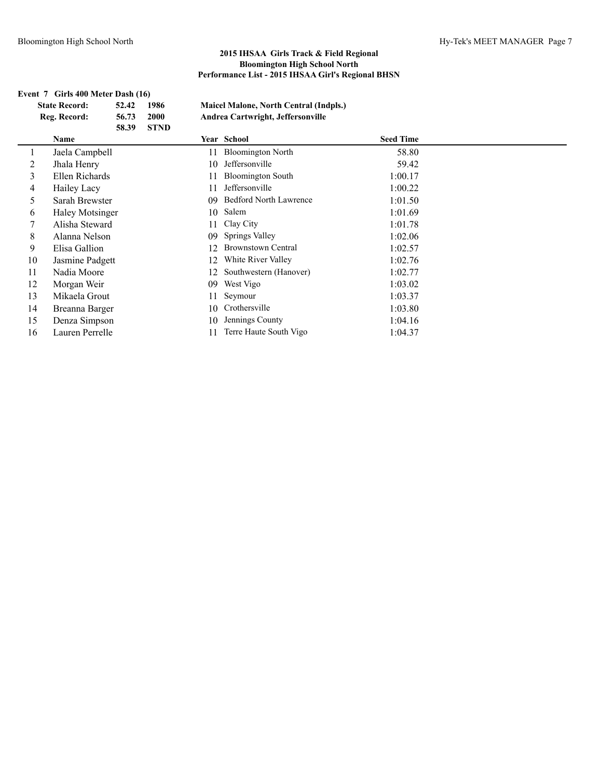|    | Event 7 Girls 400 Meter Dash (16) |       |             |     |                                               |                  |  |
|----|-----------------------------------|-------|-------------|-----|-----------------------------------------------|------------------|--|
|    | <b>State Record:</b>              | 52.42 | 1986        |     | <b>Maicel Malone, North Central (Indpls.)</b> |                  |  |
|    | Reg. Record:                      | 56.73 | 2000        |     | Andrea Cartwright, Jeffersonville             |                  |  |
|    |                                   | 58.39 | <b>STND</b> |     |                                               |                  |  |
|    | Name                              |       |             |     | Year School                                   | <b>Seed Time</b> |  |
|    | Jaela Campbell                    |       |             | 11. | <b>Bloomington North</b>                      | 58.80            |  |
| 2  | Jhala Henry                       |       |             | 10  | Jeffersonville                                | 59.42            |  |
| 3  | Ellen Richards                    |       |             |     | <b>Bloomington South</b>                      | 1:00.17          |  |
| 4  | Hailey Lacy                       |       |             | 11  | Jeffersonville                                | 1:00.22          |  |
| 5  | Sarah Brewster                    |       |             | 09  | Bedford North Lawrence                        | 1:01.50          |  |
| 6  | <b>Haley Motsinger</b>            |       |             | 10  | Salem                                         | 1:01.69          |  |
|    | Alisha Steward                    |       |             | 11  | Clay City                                     | 1:01.78          |  |
| 8  | Alanna Nelson                     |       |             | 09  | Springs Valley                                | 1:02.06          |  |
| 9  | Elisa Gallion                     |       |             |     | <b>Brownstown Central</b>                     | 1:02.57          |  |
| 10 | Jasmine Padgett                   |       |             | 12  | White River Valley                            | 1:02.76          |  |
| 11 | Nadia Moore                       |       |             | 12  | Southwestern (Hanover)                        | 1:02.77          |  |
| 12 | Morgan Weir                       |       |             | 09  | West Vigo                                     | 1:03.02          |  |
| 13 | Mikaela Grout                     |       |             |     | Seymour                                       | 1:03.37          |  |
| 14 | Breanna Barger                    |       |             | 10  | Crothersville                                 | 1:03.80          |  |
| 15 | Denza Simpson                     |       |             | 10  | Jennings County                               | 1:04.16          |  |
| 16 | Lauren Perrelle                   |       |             | 11. | Terre Haute South Vigo                        | 1:04.37          |  |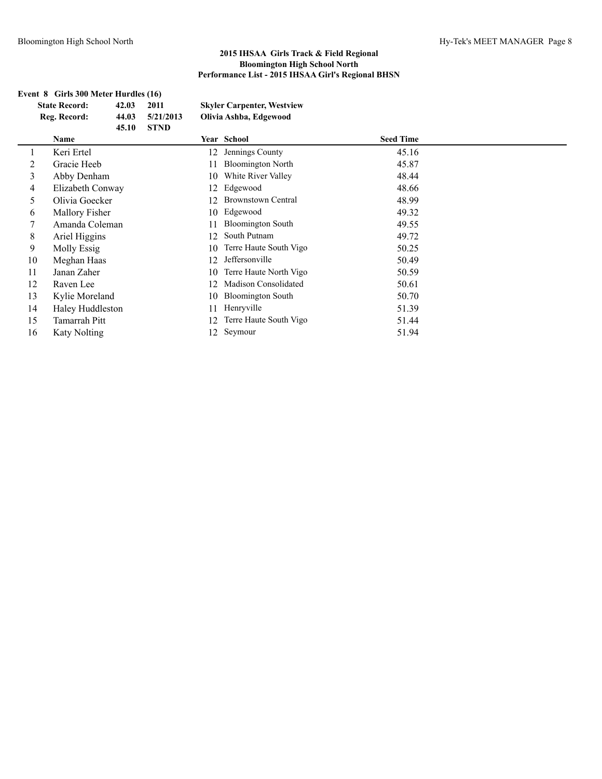|    | Event 8 Girls 300 Meter Hurdles (16) |       |             |    |                                   |                  |  |
|----|--------------------------------------|-------|-------------|----|-----------------------------------|------------------|--|
|    | <b>State Record:</b>                 | 42.03 | 2011        |    | <b>Skyler Carpenter, Westview</b> |                  |  |
|    | Reg. Record:                         | 44.03 | 5/21/2013   |    | Olivia Ashba, Edgewood            |                  |  |
|    |                                      | 45.10 | <b>STND</b> |    |                                   |                  |  |
|    | Name                                 |       |             |    | Year School                       | <b>Seed Time</b> |  |
|    | Keri Ertel                           |       |             | 12 | Jennings County                   | 45.16            |  |
| 2  | Gracie Heeb                          |       |             | 11 | <b>Bloomington North</b>          | 45.87            |  |
| 3  | Abby Denham                          |       |             | 10 | White River Valley                | 48.44            |  |
| 4  | Elizabeth Conway                     |       |             | 12 | Edgewood                          | 48.66            |  |
| 5  | Olivia Goecker                       |       |             | 12 | <b>Brownstown Central</b>         | 48.99            |  |
| 6  | Mallory Fisher                       |       |             | 10 | Edgewood                          | 49.32            |  |
| 7  | Amanda Coleman                       |       |             | 11 | <b>Bloomington South</b>          | 49.55            |  |
| 8  | Ariel Higgins                        |       |             | 12 | South Putnam                      | 49.72            |  |
| 9  | Molly Essig                          |       |             | 10 | Terre Haute South Vigo            | 50.25            |  |
| 10 | Meghan Haas                          |       |             | 12 | Jeffersonville                    | 50.49            |  |
| 11 | Janan Zaher                          |       |             | 10 | Terre Haute North Vigo            | 50.59            |  |
| 12 | Raven Lee                            |       |             | 12 | Madison Consolidated              | 50.61            |  |
| 13 | Kylie Moreland                       |       |             | 10 | <b>Bloomington South</b>          | 50.70            |  |
| 14 | Haley Huddleston                     |       |             | 11 | Henryville                        | 51.39            |  |
| 15 | Tamarrah Pitt                        |       |             | 12 | Terre Haute South Vigo            | 51.44            |  |
| 16 | <b>Katy Nolting</b>                  |       |             | 12 | Seymour                           | 51.94            |  |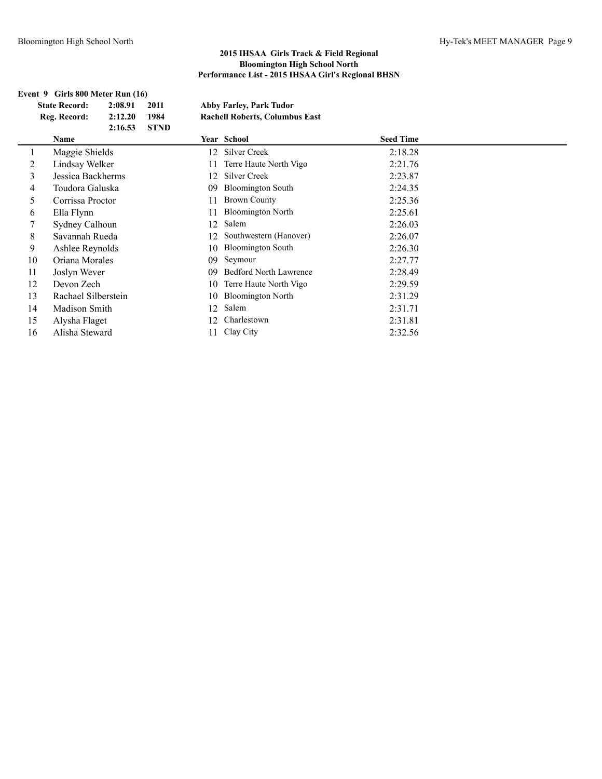### **Event 9 Girls 800 Meter Run (16)**

**State Record: 2:08.91 2011 Abby Farley, Park Tudor Reg. Record: 2:12.20 1984 Rachell Roberts, Columbus East**

|    | 2:16.53             | <b>STND</b> |                               |                  |  |
|----|---------------------|-------------|-------------------------------|------------------|--|
|    | <b>Name</b>         |             | Year School                   | <b>Seed Time</b> |  |
|    | Maggie Shields      | 12          | Silver Creek                  | 2:18.28          |  |
| 2  | Lindsay Welker      | 11          | Terre Haute North Vigo        | 2:21.76          |  |
| 3  | Jessica Backherms   | 12.         | Silver Creek                  | 2:23.87          |  |
| 4  | Toudora Galuska     | 09          | <b>Bloomington South</b>      | 2:24.35          |  |
| 5  | Corrissa Proctor    | 11          | <b>Brown County</b>           | 2:25.36          |  |
| 6  | Ella Flynn          | 11          | <b>Bloomington North</b>      | 2:25.61          |  |
|    | Sydney Calhoun      | 12          | Salem                         | 2:26.03          |  |
| 8  | Savannah Rueda      | 12          | Southwestern (Hanover)        | 2:26.07          |  |
| 9  | Ashlee Reynolds     | 10          | <b>Bloomington South</b>      | 2:26.30          |  |
| 10 | Oriana Morales      | 09          | Seymour                       | 2:27.77          |  |
| 11 | Joslyn Wever        | 09          | <b>Bedford North Lawrence</b> | 2:28.49          |  |
| 12 | Devon Zech          | 10          | Terre Haute North Vigo        | 2:29.59          |  |
| 13 | Rachael Silberstein | 10          | <b>Bloomington North</b>      | 2:31.29          |  |
| 14 | Madison Smith       | 12          | Salem                         | 2:31.71          |  |
| 15 | Alysha Flaget       | 12          | Charlestown                   | 2:31.81          |  |
| 16 | Alisha Steward      |             | Clay City                     | 2:32.56          |  |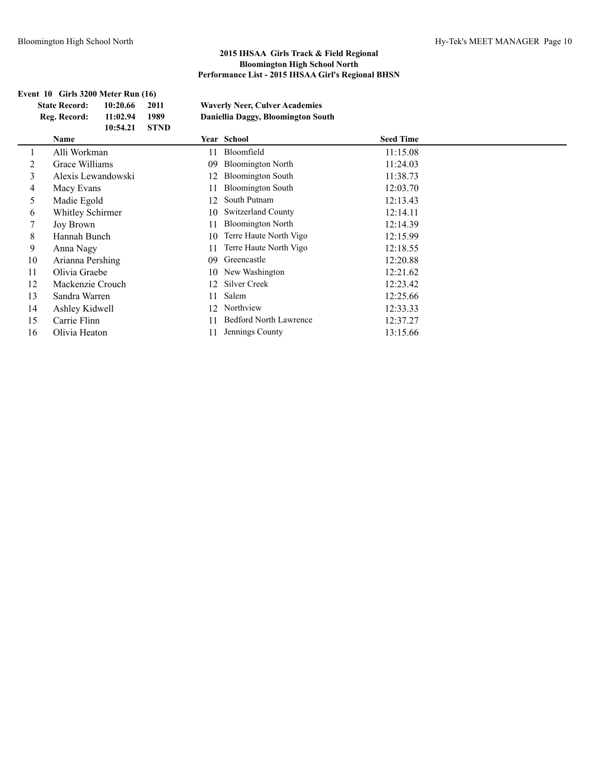|    | Event 10 Girls 3200 Meter Run (16) |             |    |                                       |                  |  |
|----|------------------------------------|-------------|----|---------------------------------------|------------------|--|
|    | <b>State Record:</b><br>10:20.66   | 2011        |    | <b>Waverly Neer, Culver Academies</b> |                  |  |
|    | Reg. Record:<br>11:02.94           | 1989        |    | Daniellia Daggy, Bloomington South    |                  |  |
|    | 10:54.21                           | <b>STND</b> |    |                                       |                  |  |
|    | Name                               |             |    | Year School                           | <b>Seed Time</b> |  |
|    | Alli Workman                       |             | 11 | Bloomfield                            | 11:15.08         |  |
| 2  | Grace Williams                     |             | 09 | <b>Bloomington North</b>              | 11:24.03         |  |
| 3  | Alexis Lewandowski                 |             | 12 | <b>Bloomington South</b>              | 11:38.73         |  |
| 4  | Macy Evans                         |             | 11 | <b>Bloomington South</b>              | 12:03.70         |  |
| 5  | Madie Egold                        |             | 12 | South Putnam                          | 12:13.43         |  |
| 6  | Whitley Schirmer                   |             | 10 | <b>Switzerland County</b>             | 12:14.11         |  |
|    | Joy Brown                          |             | 11 | <b>Bloomington North</b>              | 12:14.39         |  |
| 8  | Hannah Bunch                       |             | 10 | Terre Haute North Vigo                | 12:15.99         |  |
| 9  | Anna Nagy                          |             | 11 | Terre Haute North Vigo                | 12:18.55         |  |
| 10 | Arianna Pershing                   |             | 09 | Greencastle                           | 12:20.88         |  |
| 11 | Olivia Graebe                      |             | 10 | New Washington                        | 12:21.62         |  |
| 12 | Mackenzie Crouch                   |             | 12 | Silver Creek                          | 12:23.42         |  |
| 13 | Sandra Warren                      |             | 11 | Salem                                 | 12:25.66         |  |
| 14 | Ashley Kidwell                     |             | 12 | Northview                             | 12:33.33         |  |
| 15 | Carrie Flinn                       |             | 11 | <b>Bedford North Lawrence</b>         | 12:37.27         |  |
| 16 | Olivia Heaton                      |             | 11 | Jennings County                       | 13:15.66         |  |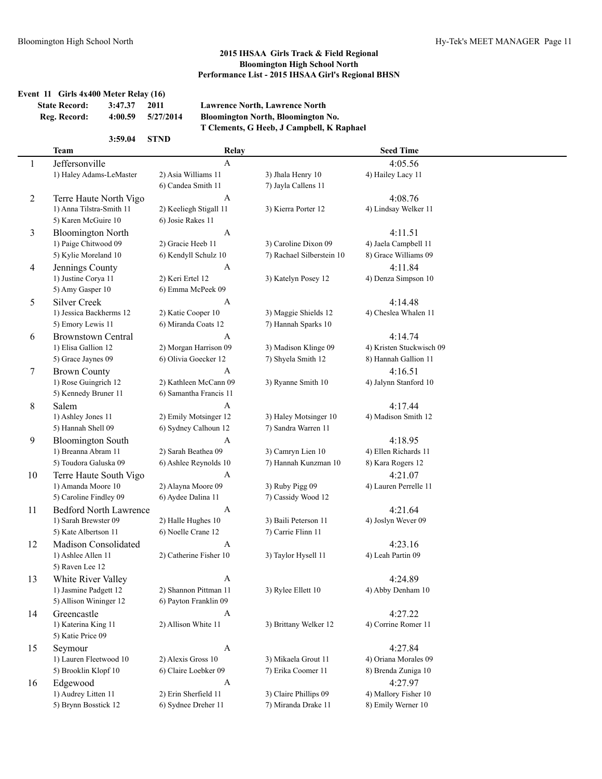### **Event 11 Girls 4x400 Meter Relay (16) State Record: 3:47.37 2011 Lawrence North, Lawrence North**

| Reg. Record: | 4:00.59 | 5/27/2014 |
|--------------|---------|-----------|
|              |         |           |

**3:59.04 STND**

**Reg. Record: 4:00.59 5/27/2014 Bloomington North, Bloomington No. T Clements, G Heeb, J Campbell, K Raphael**

|                | Team                          | Relay                  |                                             | <b>Seed Time</b>         |
|----------------|-------------------------------|------------------------|---------------------------------------------|--------------------------|
| 1              | Jeffersonville                | $\mathbf{A}$           |                                             | 4:05.56                  |
|                | 1) Haley Adams-LeMaster       | 2) Asia Williams 11    | 3) Jhala Henry 10                           | 4) Hailey Lacy 11        |
|                |                               | 6) Candea Smith 11     | 7) Jayla Callens 11                         |                          |
| $\overline{c}$ | Terre Haute North Vigo        | A                      |                                             | 4:08.76                  |
|                | 1) Anna Tilstra-Smith 11      | 2) Keeliegh Stigall 11 | 3) Kierra Porter 12                         | 4) Lindsay Welker 11     |
|                | 5) Karen McGuire 10           | 6) Josie Rakes 11      |                                             |                          |
| 3              | <b>Bloomington North</b>      | $\mathbf{A}$           |                                             | 4:11.51                  |
|                | 1) Paige Chitwood 09          | 2) Gracie Heeb 11      | 3) Caroline Dixon 09                        | 4) Jaela Campbell 11     |
|                | 5) Kylie Moreland 10          | 6) Kendyll Schulz 10   | 7) Rachael Silberstein 10                   | 8) Grace Williams 09     |
| 4              | Jennings County               | A                      |                                             | 4:11.84                  |
|                | 1) Justine Corya 11           | 2) Keri Ertel 12       | 3) Katelyn Posey 12                         | 4) Denza Simpson 10      |
|                | 5) Amy Gasper 10              | 6) Emma McPeek 09      |                                             |                          |
|                | <b>Silver Creek</b>           |                        |                                             |                          |
| 5              |                               | A                      |                                             | 4:14.48                  |
|                | 1) Jessica Backherms 12       | 2) Katie Cooper 10     | 3) Maggie Shields 12<br>7) Hannah Sparks 10 | 4) Cheslea Whalen 11     |
|                | 5) Emory Lewis 11             | 6) Miranda Coats 12    |                                             |                          |
| 6              | <b>Brownstown Central</b>     | A                      |                                             | 4:14.74                  |
|                | 1) Elisa Gallion 12           | 2) Morgan Harrison 09  | 3) Madison Klinge 09                        | 4) Kristen Stuckwisch 09 |
|                | 5) Grace Jaynes 09            | 6) Olivia Goecker 12   | 7) Shyela Smith 12                          | 8) Hannah Gallion 11     |
| 7              | <b>Brown County</b>           | A                      |                                             | 4:16.51                  |
|                | 1) Rose Guingrich 12          | 2) Kathleen McCann 09  | 3) Ryanne Smith 10                          | 4) Jalynn Stanford 10    |
|                | 5) Kennedy Bruner 11          | 6) Samantha Francis 11 |                                             |                          |
| 8              | Salem                         | A                      |                                             | 4:17.44                  |
|                | 1) Ashley Jones 11            | 2) Emily Motsinger 12  | 3) Haley Motsinger 10                       | 4) Madison Smith 12      |
|                | 5) Hannah Shell 09            | 6) Sydney Calhoun 12   | 7) Sandra Warren 11                         |                          |
| 9              | <b>Bloomington South</b>      | A                      |                                             | 4:18.95                  |
|                | 1) Breanna Abram 11           | 2) Sarah Beathea 09    | 3) Camryn Lien 10                           | 4) Ellen Richards 11     |
|                | 5) Toudora Galuska 09         | 6) Ashlee Reynolds 10  | 7) Hannah Kunzman 10                        | 8) Kara Rogers 12        |
| 10             | Terre Haute South Vigo        | A                      |                                             | 4:21.07                  |
|                | 1) Amanda Moore 10            | 2) Alayna Moore 09     | 3) Ruby Pigg 09                             | 4) Lauren Perrelle 11    |
|                | 5) Caroline Findley 09        | 6) Aydee Dalina 11     | 7) Cassidy Wood 12                          |                          |
| 11             | <b>Bedford North Lawrence</b> | $\mathbf{A}$           |                                             | 4:21.64                  |
|                | 1) Sarah Brewster 09          | 2) Halle Hughes 10     | 3) Baili Peterson 11                        | 4) Joslyn Wever 09       |
|                | 5) Kate Albertson 11          | 6) Noelle Crane 12     | 7) Carrie Flinn 11                          |                          |
| 12             | Madison Consolidated          | A                      |                                             | 4:23.16                  |
|                | 1) Ashlee Allen 11            | 2) Catherine Fisher 10 | 3) Taylor Hysell 11                         | 4) Leah Partin 09        |
|                | 5) Raven Lee 12               |                        |                                             |                          |
| 13             | White River Valley            | A                      |                                             | 4:24.89                  |
|                | 1) Jasmine Padgett 12         | 2) Shannon Pittman 11  | 3) Rylee Ellett 10                          | 4) Abby Denham 10        |
|                | 5) Allison Wininger 12        | 6) Payton Franklin 09  |                                             |                          |
| 14             | Greencastle                   | A                      |                                             | 4:27.22                  |
|                | 1) Katerina King 11           | 2) Allison White 11    | 3) Brittany Welker 12                       | 4) Corrine Romer 11      |
|                | 5) Katie Price 09             |                        |                                             |                          |
| 15             | Seymour                       | A                      |                                             | 4:27.84                  |
|                | 1) Lauren Fleetwood 10        | 2) Alexis Gross 10     | 3) Mikaela Grout 11                         | 4) Oriana Morales 09     |
|                | 5) Brooklin Klopf 10          | 6) Claire Loebker 09   | 7) Erika Coomer 11                          | 8) Brenda Zuniga 10      |
| 16             | Edgewood                      | $\mathbf{A}$           |                                             | 4:27.97                  |
|                | 1) Audrey Litten 11           | 2) Erin Sherfield 11   | 3) Claire Phillips 09                       | 4) Mallory Fisher 10     |
|                | 5) Brynn Bosstick 12          | 6) Sydnee Dreher 11    | 7) Miranda Drake 11                         | 8) Emily Werner 10       |
|                |                               |                        |                                             |                          |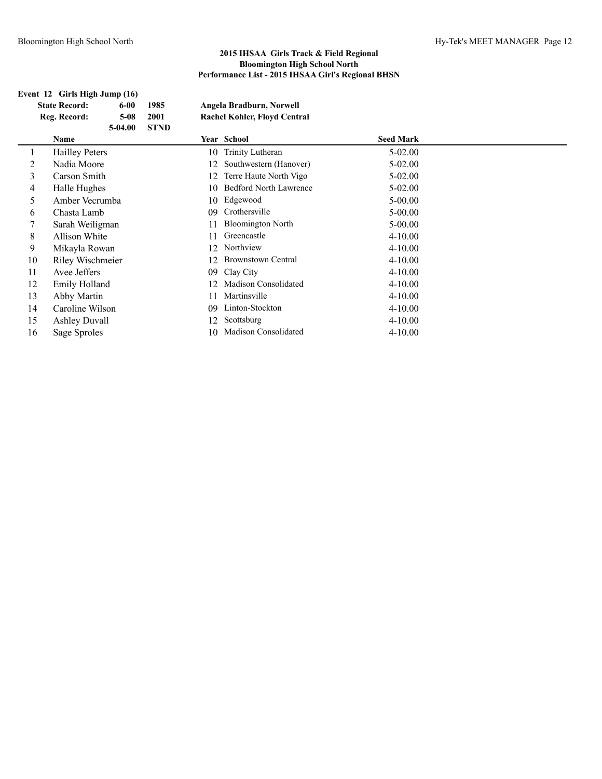### **Event 12 Girls High Jump (16) State Record: 6-00 1985**

| <b>State Record:</b> | 6-00   | 1985 | Angela Bradburn, Norwell            |
|----------------------|--------|------|-------------------------------------|
| Reg. Record:         | $5-08$ | 2001 | <b>Rachel Kohler, Floyd Central</b> |
|                      |        | C    |                                     |

|    | Reg. Record:          | $5-08$    | 2001        |    | <b>Rachel Kohler, Floyd Central</b> |                  |
|----|-----------------------|-----------|-------------|----|-------------------------------------|------------------|
|    | Name                  | $5-04.00$ | <b>STND</b> |    | Year School                         | <b>Seed Mark</b> |
| 1  | <b>Hailley Peters</b> |           |             | 10 | Trinity Lutheran                    | $5 - 02.00$      |
| 2  | Nadia Moore           |           |             | 12 | Southwestern (Hanover)              | $5 - 02.00$      |
| 3  | Carson Smith          |           |             | 12 | Terre Haute North Vigo              | $5 - 02.00$      |
| 4  | Halle Hughes          |           |             | 10 | <b>Bedford North Lawrence</b>       | $5-02.00$        |
| 5  | Amber Vecrumba        |           |             | 10 | Edgewood                            | $5 - 00.00$      |
| 6  | Chasta Lamb           |           |             | 09 | Crothersville                       | $5 - 00.00$      |
|    | Sarah Weiligman       |           |             | 11 | <b>Bloomington North</b>            | $5 - 00.00$      |
| 8  | Allison White         |           |             | 11 | Greencastle                         | $4 - 10.00$      |
| 9  | Mikayla Rowan         |           |             | 12 | Northview                           | $4 - 10.00$      |
| 10 | Riley Wischmeier      |           |             | 12 | <b>Brownstown Central</b>           | $4 - 10.00$      |
| 11 | Avee Jeffers          |           |             | 09 | Clay City                           | $4 - 10.00$      |
| 12 | Emily Holland         |           |             | 12 | <b>Madison Consolidated</b>         | $4 - 10.00$      |
| 13 | Abby Martin           |           |             | 11 | Martinsville                        | $4 - 10.00$      |
| 14 | Caroline Wilson       |           |             | 09 | Linton-Stockton                     | $4 - 10.00$      |
| 15 | <b>Ashley Duvall</b>  |           |             | 12 | Scottsburg                          | $4 - 10.00$      |
| 16 | Sage Sproles          |           |             | 10 | Madison Consolidated                | $4 - 10.00$      |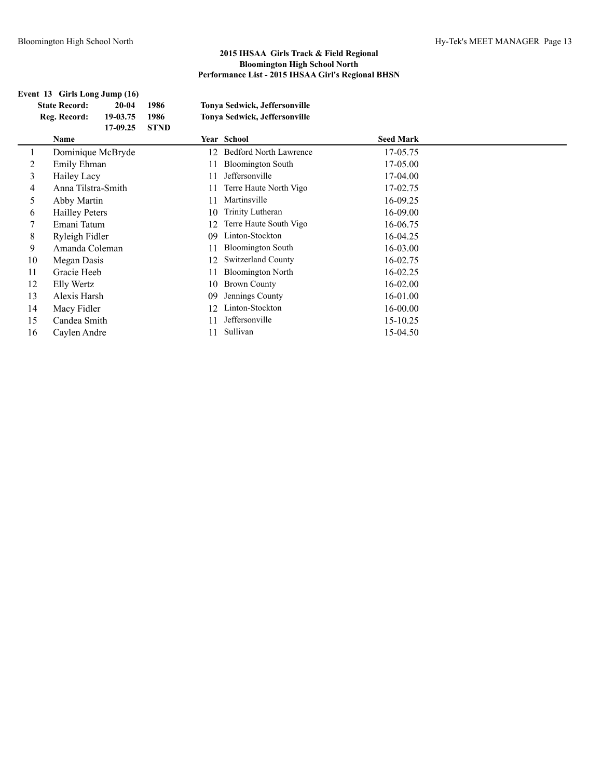| Event 13 Girls Long Jump (16) |                       |          |             |    |                               |                  |  |
|-------------------------------|-----------------------|----------|-------------|----|-------------------------------|------------------|--|
|                               | <b>State Record:</b>  | 20-04    | 1986        |    | Tonya Sedwick, Jeffersonville |                  |  |
|                               | Reg. Record:          | 19-03.75 | 1986        |    | Tonya Sedwick, Jeffersonville |                  |  |
|                               |                       | 17-09.25 | <b>STND</b> |    |                               |                  |  |
|                               | Name                  |          |             |    | Year School                   | <b>Seed Mark</b> |  |
|                               | Dominique McBryde     |          |             | 12 | <b>Bedford North Lawrence</b> | 17-05.75         |  |
| 2                             | Emily Ehman           |          |             | 11 | <b>Bloomington South</b>      | 17-05.00         |  |
| 3                             | Hailey Lacy           |          |             | 11 | Jeffersonville                | 17-04.00         |  |
| 4                             | Anna Tilstra-Smith    |          |             | 11 | Terre Haute North Vigo        | 17-02.75         |  |
| 5                             | Abby Martin           |          |             | 11 | Martinsville                  | 16-09.25         |  |
| 6                             | <b>Hailley Peters</b> |          |             | 10 | Trinity Lutheran              | 16-09.00         |  |
| 7                             | Emani Tatum           |          |             | 12 | Terre Haute South Vigo        | 16-06.75         |  |
| 8                             | Ryleigh Fidler        |          |             | 09 | Linton-Stockton               | 16-04.25         |  |
| 9                             | Amanda Coleman        |          |             | 11 | <b>Bloomington South</b>      | 16-03.00         |  |
| 10                            | Megan Dasis           |          |             | 12 | <b>Switzerland County</b>     | 16-02.75         |  |
| 11                            | Gracie Heeb           |          |             | 11 | <b>Bloomington North</b>      | 16-02.25         |  |
| 12                            | Elly Wertz            |          |             | 10 | <b>Brown County</b>           | $16 - 02.00$     |  |
| 13                            | Alexis Harsh          |          |             | 09 | Jennings County               | 16-01.00         |  |
| 14                            | Macy Fidler           |          |             | 12 | Linton-Stockton               | 16-00.00         |  |
| 15                            | Candea Smith          |          |             | 11 | Jeffersonville                | 15-10.25         |  |
| 16                            | Caylen Andre          |          |             | 11 | Sullivan                      | 15-04.50         |  |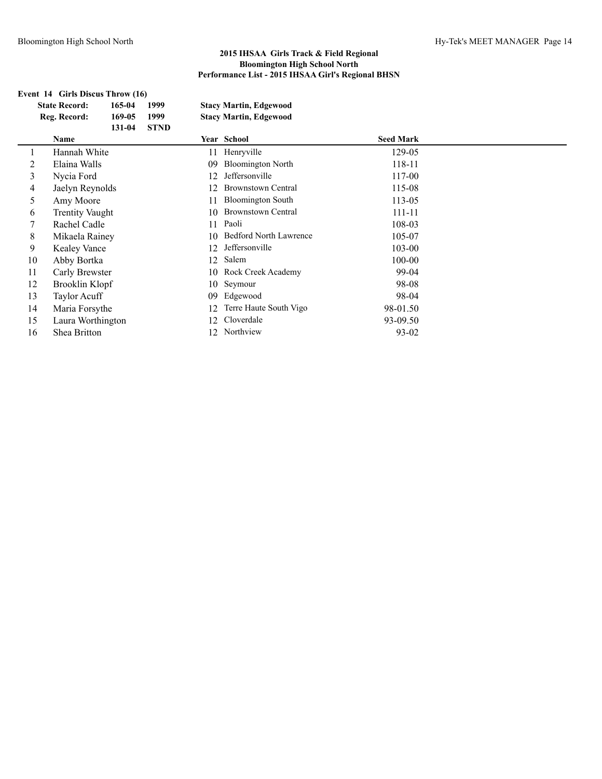## **Event 14 Girls Discus Throw (16)**

| <b>State Record:</b> | 165-04 | 1999        | <b>Stacy Martin, Edgewood</b> |
|----------------------|--------|-------------|-------------------------------|
| Reg. Record:         | 169-05 | 1999        | <b>Stacy Martin, Edgewood</b> |
|                      | 131-04 | <b>STND</b> |                               |
| Name                 |        |             | Year School                   |

|    | Name                   |    | Year School               | <b>Seed Mark</b> |  |
|----|------------------------|----|---------------------------|------------------|--|
|    | Hannah White           |    | 11 Henryville             | 129-05           |  |
| 2  | Elaina Walls           | 09 | <b>Bloomington North</b>  | 118-11           |  |
| 3  | Nycia Ford             | 12 | Jeffersonville            | 117-00           |  |
| 4  | Jaelyn Reynolds        |    | <b>Brownstown Central</b> | 115-08           |  |
| 5  | Amy Moore              |    | <b>Bloomington South</b>  | 113-05           |  |
| 6  | <b>Trentity Vaught</b> | 10 | <b>Brownstown Central</b> | 111-11           |  |
|    | Rachel Cadle           |    | 11 Paoli                  | 108-03           |  |
| 8  | Mikaela Rainey         |    | 10 Bedford North Lawrence | 105-07           |  |
| 9  | <b>Kealey Vance</b>    | 12 | Jeffersonville            | 103-00           |  |
| 10 | Abby Bortka            | 12 | Salem                     | 100-00           |  |
| 11 | Carly Brewster         |    | 10 Rock Creek Academy     | 99-04            |  |
| 12 | Brooklin Klopf         |    | 10 Seymour                | 98-08            |  |
| 13 | Taylor Acuff           | 09 | Edgewood                  | 98-04            |  |
| 14 | Maria Forsythe         |    | Terre Haute South Vigo    | 98-01.50         |  |
| 15 | Laura Worthington      |    | Cloverdale                | 93-09.50         |  |
| 16 | Shea Britton           |    | 12 Northview              | 93-02            |  |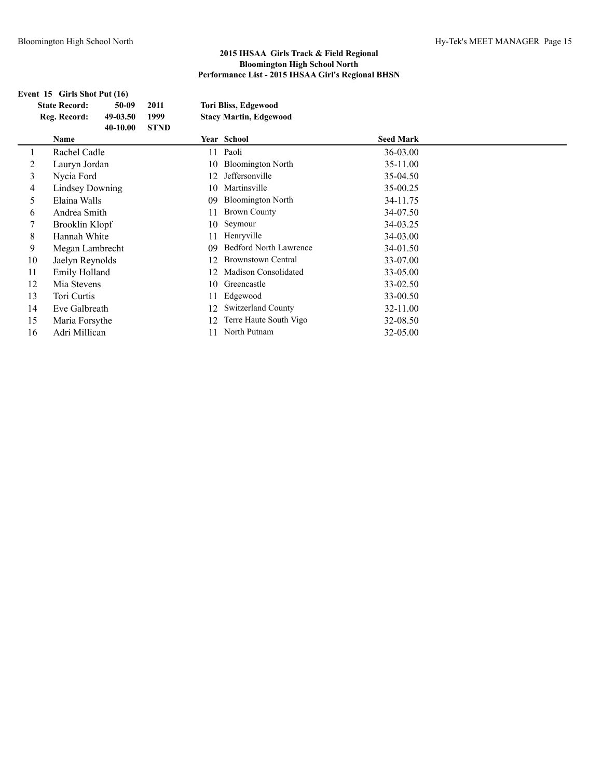| Event 15 Girls Shot Put (16) |                        |          |             |    |                               |                  |  |
|------------------------------|------------------------|----------|-------------|----|-------------------------------|------------------|--|
|                              | <b>State Record:</b>   | 50-09    | 2011        |    | <b>Tori Bliss, Edgewood</b>   |                  |  |
|                              | Reg. Record:           | 49-03.50 | 1999        |    | <b>Stacy Martin, Edgewood</b> |                  |  |
|                              |                        | 40-10.00 | <b>STND</b> |    |                               |                  |  |
|                              | Name                   |          |             |    | Year School                   | <b>Seed Mark</b> |  |
| 1                            | Rachel Cadle           |          |             | 11 | Paoli                         | 36-03.00         |  |
| 2                            | Lauryn Jordan          |          |             | 10 | <b>Bloomington North</b>      | 35-11.00         |  |
| 3                            | Nycia Ford             |          |             | 12 | Jeffersonville                | 35-04.50         |  |
| 4                            | <b>Lindsey Downing</b> |          |             | 10 | Martinsville                  | 35-00.25         |  |
| 5                            | Elaina Walls           |          |             | 09 | <b>Bloomington North</b>      | 34-11.75         |  |
| 6                            | Andrea Smith           |          |             | 11 | <b>Brown County</b>           | 34-07.50         |  |
| 7                            | Brooklin Klopf         |          |             | 10 | Seymour                       | 34-03.25         |  |
| 8                            | Hannah White           |          |             | 11 | Henryville                    | 34-03.00         |  |
| 9                            | Megan Lambrecht        |          |             | 09 | <b>Bedford North Lawrence</b> | 34-01.50         |  |
| 10                           | Jaelyn Reynolds        |          |             | 12 | <b>Brownstown Central</b>     | 33-07.00         |  |
| 11                           | Emily Holland          |          |             | 12 | <b>Madison Consolidated</b>   | 33-05.00         |  |
| 12                           | Mia Stevens            |          |             | 10 | Greencastle                   | 33-02.50         |  |
| 13                           | Tori Curtis            |          |             | 11 | Edgewood                      | 33-00.50         |  |
| 14                           | Eve Galbreath          |          |             | 12 | Switzerland County            | 32-11.00         |  |
| 15                           | Maria Forsythe         |          |             | 12 | Terre Haute South Vigo        | 32-08.50         |  |
| 16                           | Adri Millican          |          |             | 11 | North Putnam                  | 32-05.00         |  |
|                              |                        |          |             |    |                               |                  |  |